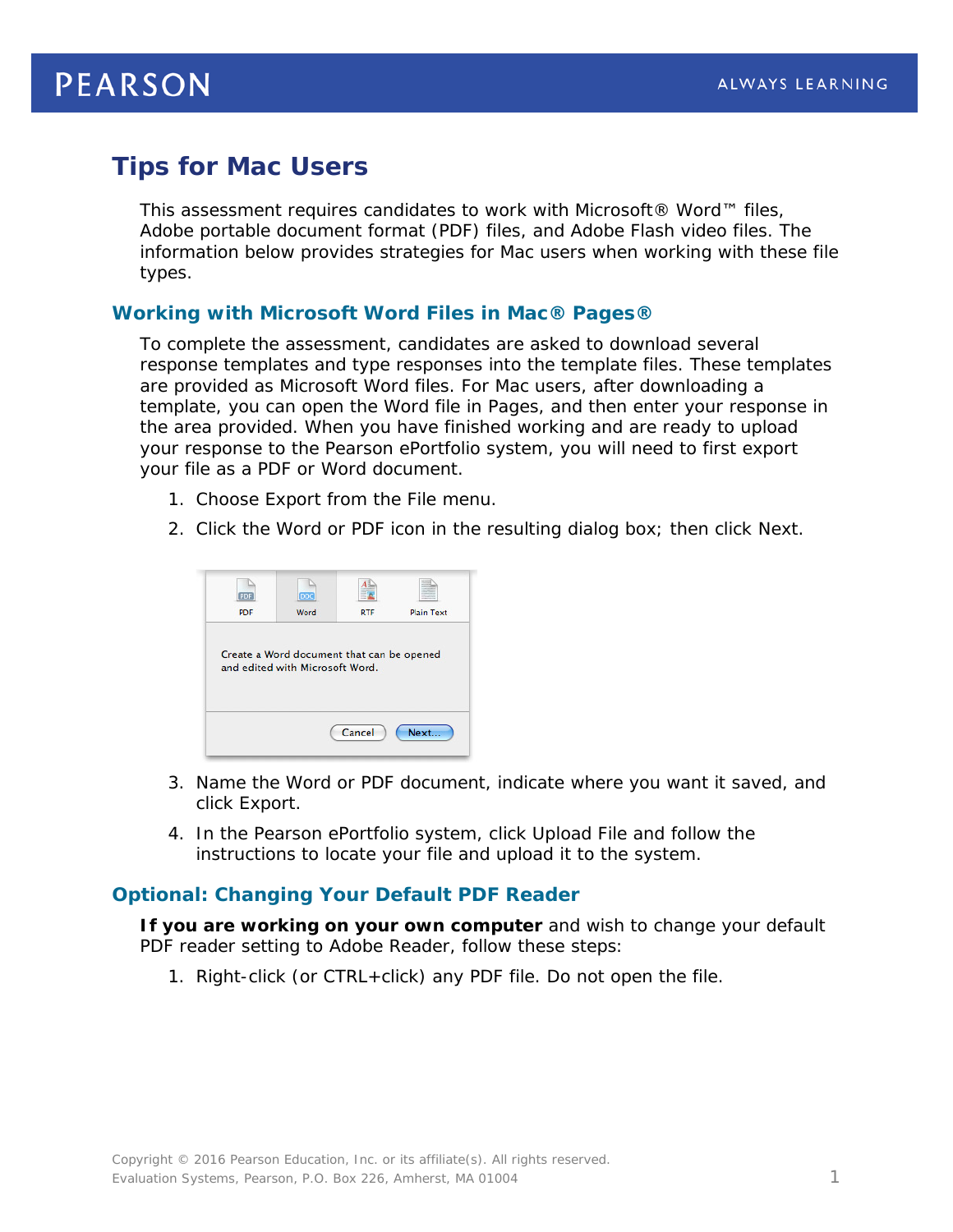# **Tips for Mac Users**

This assessment requires candidates to work with Microsoft® Word™ files, Adobe portable document format (PDF) files, and Adobe Flash video files. The information below provides strategies for Mac users when working with these file types.

### **Working with Microsoft Word Files in Mac® Pages®**

To complete the assessment, candidates are asked to download several response templates and type responses into the template files. These templates are provided as Microsoft Word files. For Mac users, after downloading a template, you can open the Word file in Pages, and then enter your response in the area provided. When you have finished working and are ready to upload your response to the Pearson ePortfolio system, you will need to first export your file as a PDF or Word document.

- 1. Choose Export from the File menu.
- 2. Click the Word or PDF icon in the resulting dialog box; then click Next.

| PDF        | DOC                                                                          |            |                   |
|------------|------------------------------------------------------------------------------|------------|-------------------|
| <b>PDF</b> | Word                                                                         | <b>RTF</b> | <b>Plain Text</b> |
|            | Create a Word document that can be opened<br>and edited with Microsoft Word. |            |                   |
|            |                                                                              |            |                   |
|            |                                                                              |            |                   |

- 3. Name the Word or PDF document, indicate where you want it saved, and click Export.
- 4. In the Pearson ePortfolio system, click Upload File and follow the instructions to locate your file and upload it to the system.

#### **Optional: Changing Your Default PDF Reader**

*If you are working on your own computer* and wish to change your default PDF reader setting to Adobe Reader, follow these steps:

1. Right-click (or CTRL+click) any PDF file. Do not open the file.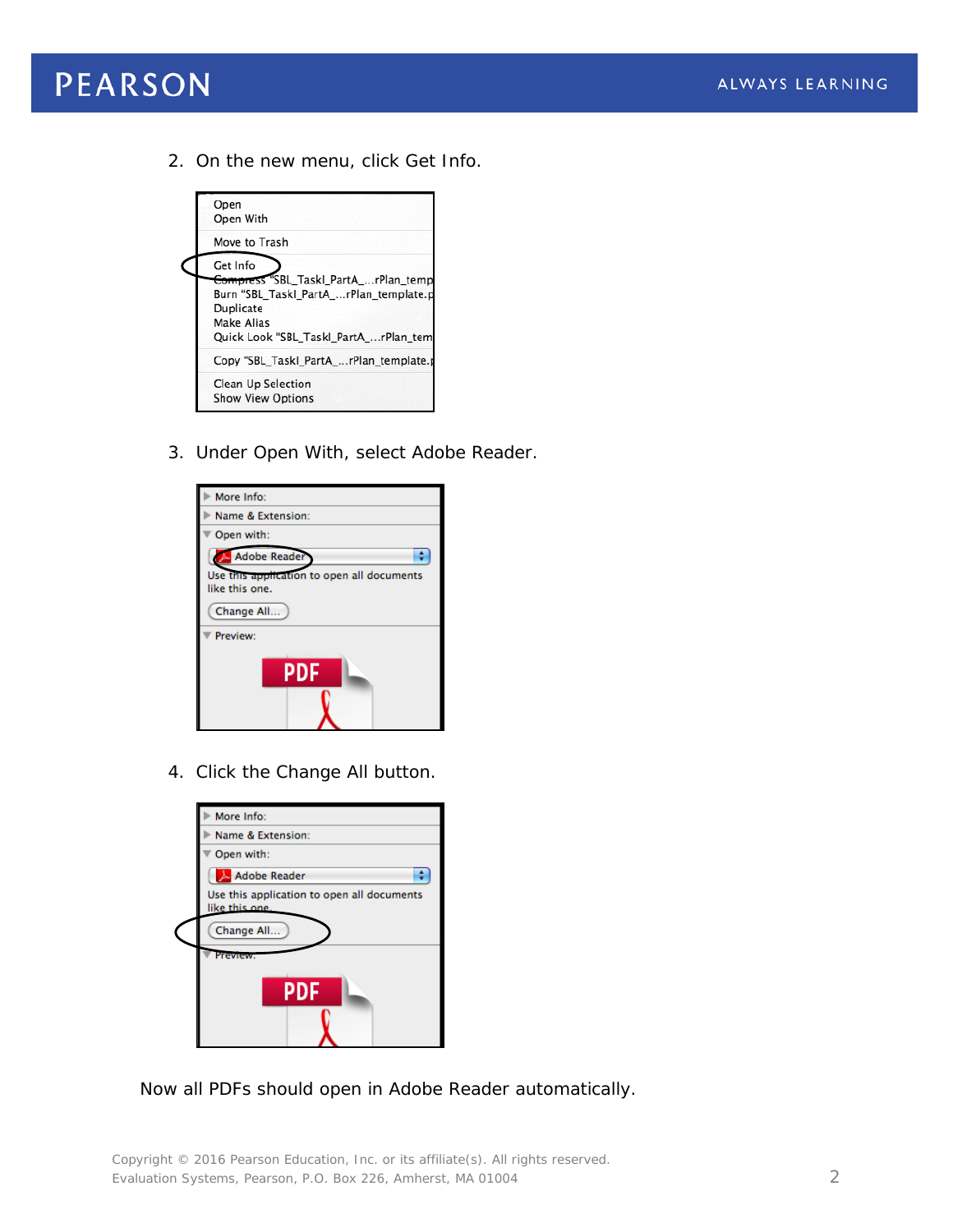

2. On the new menu, click Get Info.



3. Under Open With, select Adobe Reader.

| More Info:                                                   |  |
|--------------------------------------------------------------|--|
| Name & Extension:                                            |  |
| Open with:                                                   |  |
| Adobe Reader                                                 |  |
| Use this application to open all documents<br>like this one. |  |
| Change All                                                   |  |
| Preview:                                                     |  |
| <b>PDF</b>                                                   |  |

4. Click the Change All button.

| More Info:                                                   |
|--------------------------------------------------------------|
| Name & Extension:                                            |
| Open with:                                                   |
| Adobe Reader                                                 |
| Use this application to open all documents<br>like this one. |
| Change All                                                   |
| Preview                                                      |
| <b>PDF</b>                                                   |

Now all PDFs should open in Adobe Reader automatically.